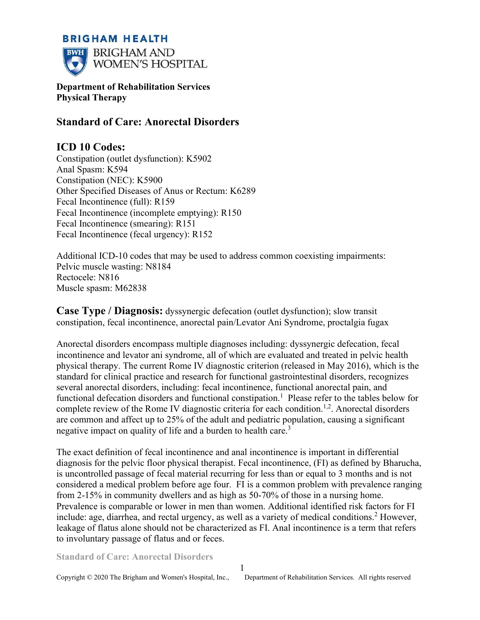## **BRIGHAM HEALTH**



**Department of Rehabilitation Services Physical Therapy** 

# **Standard of Care: Anorectal Disorders**

# **ICD 10 Codes:**

Constipation (outlet dysfunction): K5902 Anal Spasm: K594 Constipation (NEC): K5900 Other Specified Diseases of Anus or Rectum: K6289 Fecal Incontinence (full): R159 Fecal Incontinence (incomplete emptying): R150 Fecal Incontinence (smearing): R151 Fecal Incontinence (fecal urgency): R152

Additional ICD-10 codes that may be used to address common coexisting impairments: Pelvic muscle wasting: N8184 Rectocele: N816 Muscle spasm: M62838

**Case Type / Diagnosis:** dyssynergic defecation (outlet dysfunction); slow transit constipation, fecal incontinence, anorectal pain/Levator Ani Syndrome, proctalgia fugax

Anorectal disorders encompass multiple diagnoses including: dyssynergic defecation, fecal incontinence and levator ani syndrome, all of which are evaluated and treated in pelvic health physical therapy. The current Rome IV diagnostic criterion (released in May 2016), which is the standard for clinical practice and research for functional gastrointestinal disorders, recognizes several anorectal disorders, including: fecal incontinence, functional anorectal pain, and functional defecation disorders and functional constipation.<sup>1</sup> Please refer to the tables below for complete review of the Rome IV diagnostic criteria for each condition.<sup>1,2</sup>. Anorectal disorders are common and affect up to 25% of the adult and pediatric population, causing a significant negative impact on quality of life and a burden to health care.<sup>3</sup>

The exact definition of fecal incontinence and anal incontinence is important in differential diagnosis for the pelvic floor physical therapist. Fecal incontinence, (FI) as defined by Bharucha, is uncontrolled passage of fecal material recurring for less than or equal to 3 months and is not considered a medical problem before age four. FI is a common problem with prevalence ranging from 2-15% in community dwellers and as high as 50-70% of those in a nursing home. Prevalence is comparable or lower in men than women. Additional identified risk factors for FI include: age, diarrhea, and rectal urgency, as well as a variety of medical conditions.<sup>2</sup> However, leakage of flatus alone should not be characterized as FI. Anal incontinence is a term that refers to involuntary passage of flatus and or feces.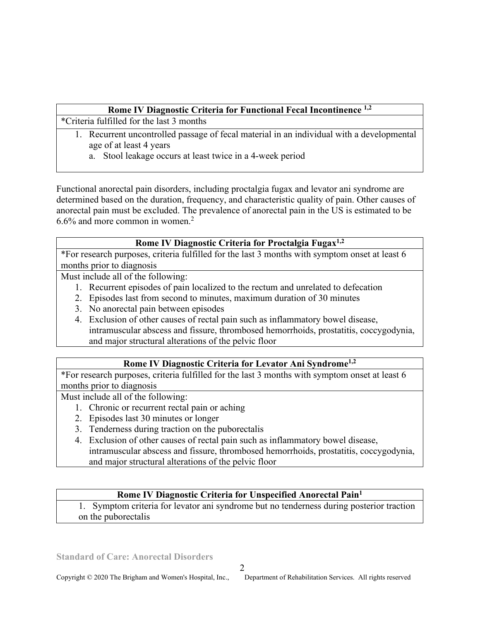### **Rome IV Diagnostic Criteria for Functional Fecal Incontinence 1,2**

\*Criteria fulfilled for the last 3 months

- 1. Recurrent uncontrolled passage of fecal material in an individual with a developmental age of at least 4 years
	- a. Stool leakage occurs at least twice in a 4-week period

Functional anorectal pain disorders, including proctalgia fugax and levator ani syndrome are determined based on the duration, frequency, and characteristic quality of pain. Other causes of anorectal pain must be excluded. The prevalence of anorectal pain in the US is estimated to be 6.6% and more common in women.<sup>2</sup>

## **Rome IV Diagnostic Criteria for Proctalgia Fugax1,2**

\*For research purposes, criteria fulfilled for the last 3 months with symptom onset at least 6 months prior to diagnosis

Must include all of the following:

- 1. Recurrent episodes of pain localized to the rectum and unrelated to defecation
- 2. Episodes last from second to minutes, maximum duration of 30 minutes
- 3. No anorectal pain between episodes
- 4. Exclusion of other causes of rectal pain such as inflammatory bowel disease, intramuscular abscess and fissure, thrombosed hemorrhoids, prostatitis, coccygodynia, and major structural alterations of the pelvic floor

# **Rome IV Diagnostic Criteria for Levator Ani Syndrome1,2**

\*For research purposes, criteria fulfilled for the last 3 months with symptom onset at least 6 months prior to diagnosis

Must include all of the following:

- 1. Chronic or recurrent rectal pain or aching
- 2. Episodes last 30 minutes or longer
- 3. Tenderness during traction on the puborectalis
- 4. Exclusion of other causes of rectal pain such as inflammatory bowel disease, intramuscular abscess and fissure, thrombosed hemorrhoids, prostatitis, coccygodynia, and major structural alterations of the pelvic floor

## **Rome IV Diagnostic Criteria for Unspecified Anorectal Pain<sup>1</sup>**

1. Symptom criteria for levator ani syndrome but no tenderness during posterior traction on the puborectalis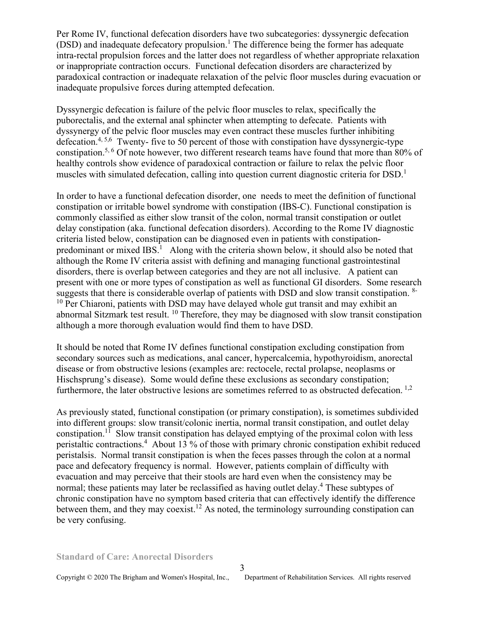Per Rome IV, functional defecation disorders have two subcategories: dyssynergic defecation  $(DSD)$  and inadequate defecatory propulsion.<sup>1</sup> The difference being the former has adequate intra-rectal propulsion forces and the latter does not regardless of whether appropriate relaxation or inappropriate contraction occurs. Functional defecation disorders are characterized by paradoxical contraction or inadequate relaxation of the pelvic floor muscles during evacuation or inadequate propulsive forces during attempted defecation.

Dyssynergic defecation is failure of the pelvic floor muscles to relax, specifically the puborectalis, and the external anal sphincter when attempting to defecate. Patients with dyssynergy of the pelvic floor muscles may even contract these muscles further inhibiting defecation.<sup>4, 5,6</sup> Twenty- five to 50 percent of those with constipation have dyssynergic-type constipation.5, 6 Of note however, two different research teams have found that more than 80% of healthy controls show evidence of paradoxical contraction or failure to relax the pelvic floor muscles with simulated defecation, calling into question current diagnostic criteria for DSD.<sup>1</sup>

In order to have a functional defecation disorder, one needs to meet the definition of functional constipation or irritable bowel syndrome with constipation (IBS-C). Functional constipation is commonly classified as either slow transit of the colon, normal transit constipation or outlet delay constipation (aka. functional defecation disorders). According to the Rome IV diagnostic criteria listed below, constipation can be diagnosed even in patients with constipationpredominant or mixed IBS.<sup>1</sup> Along with the criteria shown below, it should also be noted that although the Rome IV criteria assist with defining and managing functional gastrointestinal disorders, there is overlap between categories and they are not all inclusive. A patient can present with one or more types of constipation as well as functional GI disorders. Some research suggests that there is considerable overlap of patients with DSD and slow transit constipation. <sup>8-</sup>  $10$  Per Chiaroni, patients with DSD may have delayed whole gut transit and may exhibit an abnormal Sitzmark test result. <sup>10</sup> Therefore, they may be diagnosed with slow transit constipation although a more thorough evaluation would find them to have DSD.

It should be noted that Rome IV defines functional constipation excluding constipation from secondary sources such as medications, anal cancer, hypercalcemia, hypothyroidism, anorectal disease or from obstructive lesions (examples are: rectocele, rectal prolapse, neoplasms or Hischsprung's disease). Some would define these exclusions as secondary constipation; furthermore, the later obstructive lesions are sometimes referred to as obstructed defecation.  $^{1,2}$ 

As previously stated, functional constipation (or primary constipation), is sometimes subdivided into different groups: slow transit/colonic inertia, normal transit constipation, and outlet delay constipation.<sup>11</sup> Slow transit constipation has delayed emptying of the proximal colon with less peristaltic contractions.<sup>4</sup> About 13 % of those with primary chronic constipation exhibit reduced peristalsis. Normal transit constipation is when the feces passes through the colon at a normal pace and defecatory frequency is normal. However, patients complain of difficulty with evacuation and may perceive that their stools are hard even when the consistency may be normal; these patients may later be reclassified as having outlet delay.<sup>4</sup> These subtypes of chronic constipation have no symptom based criteria that can effectively identify the difference between them, and they may coexist.<sup>12</sup> As noted, the terminology surrounding constipation can be very confusing.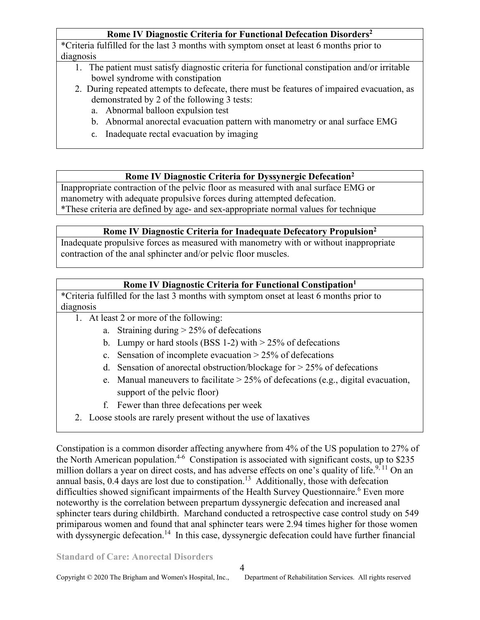## **Rome IV Diagnostic Criteria for Functional Defecation Disorders<sup>2</sup>**

\*Criteria fulfilled for the last 3 months with symptom onset at least 6 months prior to diagnosis

- 1. The patient must satisfy diagnostic criteria for functional constipation and/or irritable bowel syndrome with constipation
- 2. During repeated attempts to defecate, there must be features of impaired evacuation, as demonstrated by 2 of the following 3 tests:
	- a. Abnormal balloon expulsion test
	- b. Abnormal anorectal evacuation pattern with manometry or anal surface EMG
	- c. Inadequate rectal evacuation by imaging

### **Rome IV Diagnostic Criteria for Dyssynergic Defecation<sup>2</sup>**

Inappropriate contraction of the pelvic floor as measured with anal surface EMG or manometry with adequate propulsive forces during attempted defecation. \*These criteria are defined by age- and sex-appropriate normal values for technique

### **Rome IV Diagnostic Criteria for Inadequate Defecatory Propulsion<sup>2</sup>**

Inadequate propulsive forces as measured with manometry with or without inappropriate contraction of the anal sphincter and/or pelvic floor muscles.

## **Rome IV Diagnostic Criteria for Functional Constipation<sup>1</sup>**

\*Criteria fulfilled for the last 3 months with symptom onset at least 6 months prior to diagnosis

- 1. At least 2 or more of the following:
	- a. Straining during  $> 25\%$  of defecations
	- b. Lumpy or hard stools (BSS 1-2) with  $> 25\%$  of defecations
	- c. Sensation of incomplete evacuation  $> 25\%$  of defecations
	- d. Sensation of anorectal obstruction/blockage for  $> 25\%$  of defecations
	- e. Manual maneuvers to facilitate  $> 25\%$  of defecations (e.g., digital evacuation, support of the pelvic floor)
	- f. Fewer than three defecations per week
- 2. Loose stools are rarely present without the use of laxatives

Constipation is a common disorder affecting anywhere from 4% of the US population to 27% of the North American population.<sup>4-6</sup> Constipation is associated with significant costs, up to \$235 million dollars a year on direct costs, and has adverse effects on one's quality of life.<sup>9, 11</sup> On an annual basis,  $0.4$  days are lost due to constipation.<sup>13</sup> Additionally, those with defecation difficulties showed significant impairments of the Health Survey Questionnaire.<sup>6</sup> Even more noteworthy is the correlation between prepartum dyssynergic defecation and increased anal sphincter tears during childbirth. Marchand conducted a retrospective case control study on 549 primiparous women and found that anal sphincter tears were 2.94 times higher for those women with dyssynergic defecation.<sup>14</sup> In this case, dyssynergic defecation could have further financial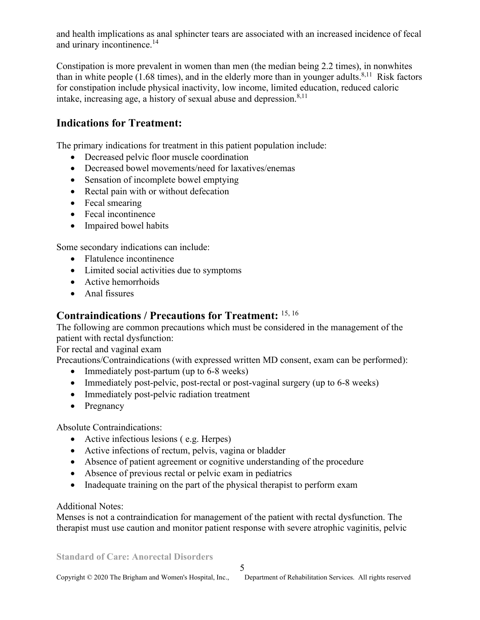and health implications as anal sphincter tears are associated with an increased incidence of fecal and urinary incontinence.<sup>14</sup>

Constipation is more prevalent in women than men (the median being 2.2 times), in nonwhites than in white people  $(1.68 \text{ times})$ , and in the elderly more than in younger adults.<sup>8,11</sup> Risk factors for constipation include physical inactivity, low income, limited education, reduced caloric intake, increasing age, a history of sexual abuse and depression. $8,11$ 

## **Indications for Treatment:**

The primary indications for treatment in this patient population include:

- Decreased pelvic floor muscle coordination
- Decreased bowel movements/need for laxatives/enemas
- Sensation of incomplete bowel emptying
- Rectal pain with or without defecation
- Fecal smearing
- Fecal incontinence
- Impaired bowel habits

Some secondary indications can include:

- Flatulence incontinence
- Limited social activities due to symptoms
- Active hemorrhoids
- Anal fissures

# **Contraindications / Precautions for Treatment:** 15, 16

The following are common precautions which must be considered in the management of the patient with rectal dysfunction:

For rectal and vaginal exam

Precautions/Contraindications (with expressed written MD consent, exam can be performed):

- Immediately post-partum (up to 6-8 weeks)
- Immediately post-pelvic, post-rectal or post-vaginal surgery (up to 6-8 weeks)
- Immediately post-pelvic radiation treatment
- Pregnancy

Absolute Contraindications:

- Active infectious lesions ( e.g. Herpes)
- Active infections of rectum, pelvis, vagina or bladder
- Absence of patient agreement or cognitive understanding of the procedure
- Absence of previous rectal or pelvic exam in pediatrics
- Inadequate training on the part of the physical therapist to perform exam

#### Additional Notes:

Menses is not a contraindication for management of the patient with rectal dysfunction. The therapist must use caution and monitor patient response with severe atrophic vaginitis, pelvic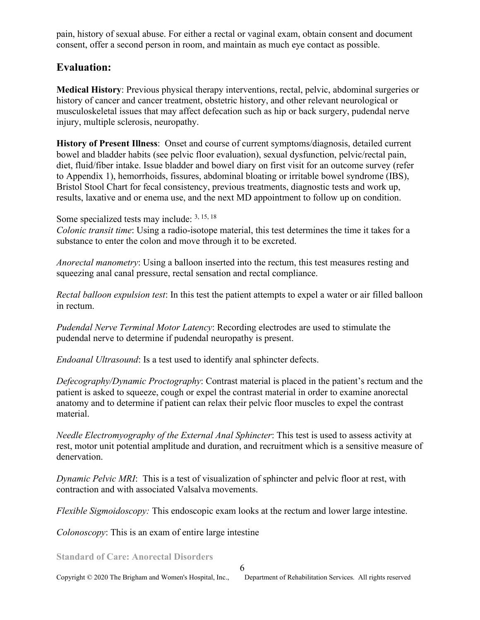pain, history of sexual abuse. For either a rectal or vaginal exam, obtain consent and document consent, offer a second person in room, and maintain as much eye contact as possible.

## **Evaluation:**

**Medical History**: Previous physical therapy interventions, rectal, pelvic, abdominal surgeries or history of cancer and cancer treatment, obstetric history, and other relevant neurological or musculoskeletal issues that may affect defecation such as hip or back surgery, pudendal nerve injury, multiple sclerosis, neuropathy.

**History of Present Illness**: Onset and course of current symptoms/diagnosis, detailed current bowel and bladder habits (see pelvic floor evaluation), sexual dysfunction, pelvic/rectal pain, diet, fluid/fiber intake. Issue bladder and bowel diary on first visit for an outcome survey (refer to Appendix 1), hemorrhoids, fissures, abdominal bloating or irritable bowel syndrome (IBS), Bristol Stool Chart for fecal consistency, previous treatments, diagnostic tests and work up, results, laxative and or enema use, and the next MD appointment to follow up on condition.

Some specialized tests may include: 3, 15, 18

*Colonic transit time*: Using a radio-isotope material, this test determines the time it takes for a substance to enter the colon and move through it to be excreted.

*Anorectal manometry*: Using a balloon inserted into the rectum, this test measures resting and squeezing anal canal pressure, rectal sensation and rectal compliance.

*Rectal balloon expulsion test*: In this test the patient attempts to expel a water or air filled balloon in rectum.

*Pudendal Nerve Terminal Motor Latency*: Recording electrodes are used to stimulate the pudendal nerve to determine if pudendal neuropathy is present.

*Endoanal Ultrasound*: Is a test used to identify anal sphincter defects.

*Defecography/Dynamic Proctography*: Contrast material is placed in the patient's rectum and the patient is asked to squeeze, cough or expel the contrast material in order to examine anorectal anatomy and to determine if patient can relax their pelvic floor muscles to expel the contrast material.

*Needle Electromyography of the External Anal Sphincter*: This test is used to assess activity at rest, motor unit potential amplitude and duration, and recruitment which is a sensitive measure of denervation.

*Dynamic Pelvic MRI*: This is a test of visualization of sphincter and pelvic floor at rest, with contraction and with associated Valsalva movements.

*Flexible Sigmoidoscopy:* This endoscopic exam looks at the rectum and lower large intestine.

*Colonoscopy*: This is an exam of entire large intestine

**Standard of Care: Anorectal Disorders** 

6

Copyright © 2020 The Brigham and Women's Hospital, Inc., Department of Rehabilitation Services. All rights reserved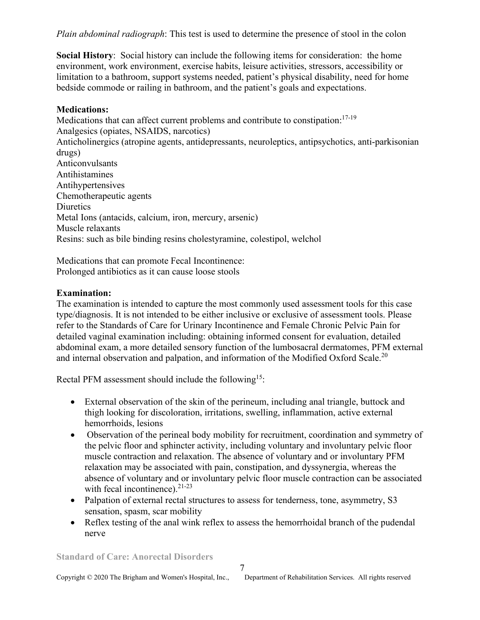*Plain abdominal radiograph*: This test is used to determine the presence of stool in the colon

**Social History**: Social history can include the following items for consideration: the home environment, work environment, exercise habits, leisure activities, stressors, accessibility or limitation to a bathroom, support systems needed, patient's physical disability, need for home bedside commode or railing in bathroom, and the patient's goals and expectations.

#### **Medications:**

Medications that can affect current problems and contribute to constipation:<sup>17-19</sup> Analgesics (opiates, NSAIDS, narcotics) Anticholinergics (atropine agents, antidepressants, neuroleptics, antipsychotics, anti-parkisonian drugs) Anticonvulsants Antihistamines Antihypertensives Chemotherapeutic agents **Diuretics** Metal Ions (antacids, calcium, iron, mercury, arsenic) Muscle relaxants Resins: such as bile binding resins cholestyramine, colestipol, welchol

Medications that can promote Fecal Incontinence: Prolonged antibiotics as it can cause loose stools

### **Examination:**

The examination is intended to capture the most commonly used assessment tools for this case type/diagnosis. It is not intended to be either inclusive or exclusive of assessment tools. Please refer to the Standards of Care for Urinary Incontinence and Female Chronic Pelvic Pain for detailed vaginal examination including: obtaining informed consent for evaluation, detailed abdominal exam, a more detailed sensory function of the lumbosacral dermatomes, PFM external and internal observation and palpation, and information of the Modified Oxford Scale.<sup>20</sup>

Rectal PFM assessment should include the following<sup>15</sup>:

- External observation of the skin of the perineum, including anal triangle, buttock and thigh looking for discoloration, irritations, swelling, inflammation, active external hemorrhoids, lesions
- Observation of the perineal body mobility for recruitment, coordination and symmetry of the pelvic floor and sphincter activity, including voluntary and involuntary pelvic floor muscle contraction and relaxation. The absence of voluntary and or involuntary PFM relaxation may be associated with pain, constipation, and dyssynergia, whereas the absence of voluntary and or involuntary pelvic floor muscle contraction can be associated with fecal incontinence). $21-23$
- Palpation of external rectal structures to assess for tenderness, tone, asymmetry, S3 sensation, spasm, scar mobility
- Reflex testing of the anal wink reflex to assess the hemorrhoidal branch of the pudendal nerve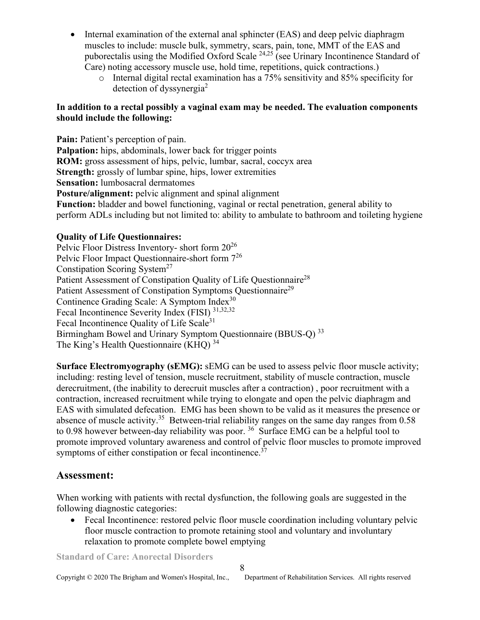- Internal examination of the external anal sphincter (EAS) and deep pelvic diaphragm muscles to include: muscle bulk, symmetry, scars, pain, tone, MMT of the EAS and puborectalis using the Modified Oxford Scale  $^{24,25}$  (see Urinary Incontinence Standard of Care) noting accessory muscle use, hold time, repetitions, quick contractions.)
	- o Internal digital rectal examination has a 75% sensitivity and 85% specificity for detection of dyssynergia<sup>2</sup>

#### **In addition to a rectal possibly a vaginal exam may be needed. The evaluation components should include the following:**

**Pain:** Patient's perception of pain. **Palpation:** hips, abdominals, lower back for trigger points **ROM:** gross assessment of hips, pelvic, lumbar, sacral, coccyx area **Strength:** grossly of lumbar spine, hips, lower extremities **Sensation:** lumbosacral dermatomes **Posture/alignment:** pelvic alignment and spinal alignment **Function:** bladder and bowel functioning, vaginal or rectal penetration, general ability to perform ADLs including but not limited to: ability to ambulate to bathroom and toileting hygiene

### **Quality of Life Questionnaires:**

Pelvic Floor Distress Inventory- short form 20<sup>26</sup> Pelvic Floor Impact Questionnaire-short form 7<sup>26</sup> Constipation Scoring System<sup>27</sup> Patient Assessment of Constipation Quality of Life Questionnaire<sup>28</sup> Patient Assessment of Constipation Symptoms Ouestionnaire<sup>29</sup> Continence Grading Scale: A Symptom Index<sup>30</sup> Fecal Incontinence Severity Index (FISI) 31,32,32 Fecal Incontinence Quality of Life Scale<sup>31</sup> Birmingham Bowel and Urinary Symptom Questionnaire (BBUS-Q) <sup>33</sup> The King's Health Questionnaire (KHQ) <sup>34</sup>

**Surface Electromyography (sEMG):** sEMG can be used to assess pelvic floor muscle activity; including: resting level of tension, muscle recruitment, stability of muscle contraction, muscle derecruitment, (the inability to derecruit muscles after a contraction) , poor recruitment with a contraction, increased recruitment while trying to elongate and open the pelvic diaphragm and EAS with simulated defecation. EMG has been shown to be valid as it measures the presence or absence of muscle activity.<sup>35</sup> Between-trial reliability ranges on the same day ranges from 0.58 to 0.98 however between-day reliability was poor.  $36$  Surface EMG can be a helpful tool to promote improved voluntary awareness and control of pelvic floor muscles to promote improved symptoms of either constipation or fecal incontinence. $37$ 

## **Assessment:**

When working with patients with rectal dysfunction, the following goals are suggested in the following diagnostic categories:

• Fecal Incontinence: restored pelvic floor muscle coordination including voluntary pelvic floor muscle contraction to promote retaining stool and voluntary and involuntary relaxation to promote complete bowel emptying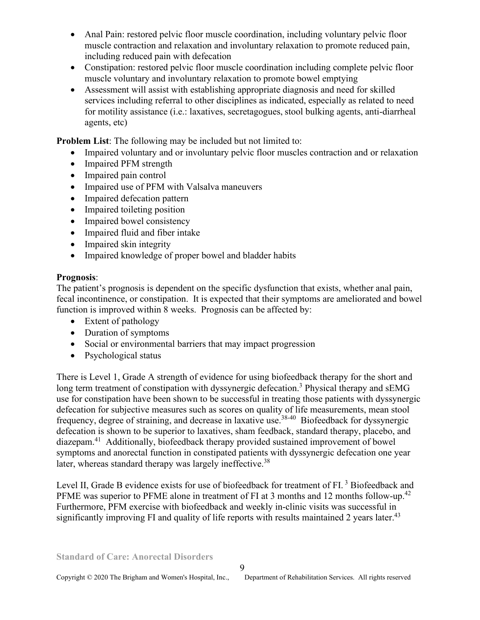- Anal Pain: restored pelvic floor muscle coordination, including voluntary pelvic floor muscle contraction and relaxation and involuntary relaxation to promote reduced pain, including reduced pain with defecation
- Constipation: restored pelvic floor muscle coordination including complete pelvic floor muscle voluntary and involuntary relaxation to promote bowel emptying
- Assessment will assist with establishing appropriate diagnosis and need for skilled services including referral to other disciplines as indicated, especially as related to need for motility assistance (i.e.: laxatives, secretagogues, stool bulking agents, anti-diarrheal agents, etc)

**Problem List**: The following may be included but not limited to:

- Impaired voluntary and or involuntary pelvic floor muscles contraction and or relaxation
- Impaired PFM strength
- Impaired pain control
- Impaired use of PFM with Valsalva maneuvers
- Impaired defecation pattern
- Impaired toileting position
- Impaired bowel consistency
- Impaired fluid and fiber intake
- Impaired skin integrity
- Impaired knowledge of proper bowel and bladder habits

### **Prognosis**:

The patient's prognosis is dependent on the specific dysfunction that exists, whether anal pain, fecal incontinence, or constipation. It is expected that their symptoms are ameliorated and bowel function is improved within 8 weeks. Prognosis can be affected by:

- Extent of pathology
- Duration of symptoms
- Social or environmental barriers that may impact progression
- Psychological status

There is Level 1, Grade A strength of evidence for using biofeedback therapy for the short and long term treatment of constipation with dyssynergic defecation.<sup>3</sup> Physical therapy and sEMG use for constipation have been shown to be successful in treating those patients with dyssynergic defecation for subjective measures such as scores on quality of life measurements, mean stool frequency, degree of straining, and decrease in laxative use.38-40 Biofeedback for dyssynergic defecation is shown to be superior to laxatives, sham feedback, standard therapy, placebo, and diazepam.<sup>41</sup> Additionally, biofeedback therapy provided sustained improvement of bowel symptoms and anorectal function in constipated patients with dyssynergic defecation one year later, whereas standard therapy was largely ineffective.<sup>38</sup>

Level II, Grade B evidence exists for use of biofeedback for treatment of FI.<sup>3</sup> Biofeedback and PFME was superior to PFME alone in treatment of FI at 3 months and 12 months follow-up.<sup>42</sup> Furthermore, PFM exercise with biofeedback and weekly in-clinic visits was successful in significantly improving FI and quality of life reports with results maintained 2 years later.<sup>43</sup>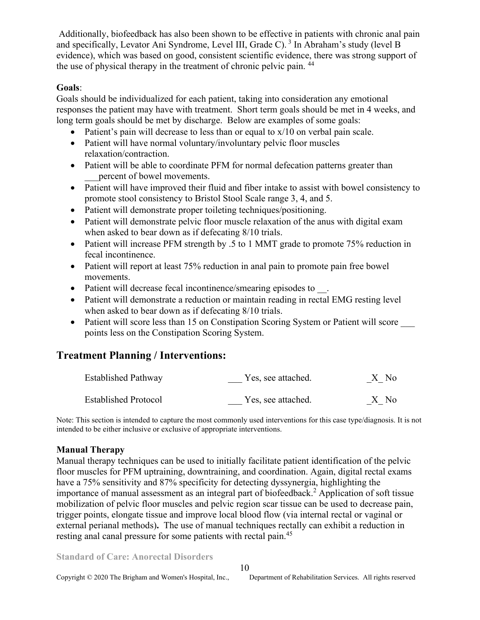Additionally, biofeedback has also been shown to be effective in patients with chronic anal pain and specifically, Levator Ani Syndrome, Level III, Grade C).<sup>3</sup> In Abraham's study (level B evidence), which was based on good, consistent scientific evidence, there was strong support of the use of physical therapy in the treatment of chronic pelvic pain. <sup>44</sup>

#### **Goals**:

Goals should be individualized for each patient, taking into consideration any emotional responses the patient may have with treatment. Short term goals should be met in 4 weeks, and long term goals should be met by discharge. Below are examples of some goals:

- Patient's pain will decrease to less than or equal to  $x/10$  on verbal pain scale.
- Patient will have normal voluntary/involuntary pelvic floor muscles relaxation/contraction.
- Patient will be able to coordinate PFM for normal defecation patterns greater than percent of bowel movements.
- Patient will have improved their fluid and fiber intake to assist with bowel consistency to promote stool consistency to Bristol Stool Scale range 3, 4, and 5.
- Patient will demonstrate proper toileting techniques/positioning.
- Patient will demonstrate pelvic floor muscle relaxation of the anus with digital exam when asked to bear down as if defecating 8/10 trials.
- Patient will increase PFM strength by .5 to 1 MMT grade to promote 75% reduction in fecal incontinence.
- Patient will report at least 75% reduction in anal pain to promote pain free bowel movements.
- Patient will decrease fecal incontinence/smearing episodes to  $\blacksquare$ .
- Patient will demonstrate a reduction or maintain reading in rectal EMG resting level when asked to bear down as if defecating 8/10 trials.
- Patient will score less than 15 on Constipation Scoring System or Patient will score points less on the Constipation Scoring System.

# **Treatment Planning / Interventions:**

| <b>Established Pathway</b>  | Yes, see attached. | X No |
|-----------------------------|--------------------|------|
| <b>Established Protocol</b> | Yes, see attached. | X No |

Note: This section is intended to capture the most commonly used interventions for this case type/diagnosis. It is not intended to be either inclusive or exclusive of appropriate interventions.

#### **Manual Therapy**

Manual therapy techniques can be used to initially facilitate patient identification of the pelvic floor muscles for PFM uptraining, downtraining, and coordination. Again, digital rectal exams have a 75% sensitivity and 87% specificity for detecting dyssynergia, highlighting the importance of manual assessment as an integral part of biofeedback.<sup>2</sup> Application of soft tissue mobilization of pelvic floor muscles and pelvic region scar tissue can be used to decrease pain, trigger points, elongate tissue and improve local blood flow (via internal rectal or vaginal or external perianal methods)**.** The use of manual techniques rectally can exhibit a reduction in resting anal canal pressure for some patients with rectal pain.<sup>45</sup>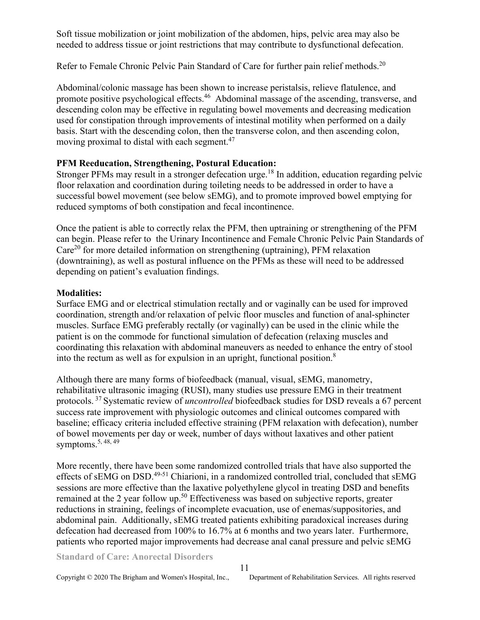Soft tissue mobilization or joint mobilization of the abdomen, hips, pelvic area may also be needed to address tissue or joint restrictions that may contribute to dysfunctional defecation.

Refer to Female Chronic Pelvic Pain Standard of Care for further pain relief methods.<sup>20</sup>

Abdominal/colonic massage has been shown to increase peristalsis, relieve flatulence, and promote positive psychological effects.<sup>46</sup> Abdominal massage of the ascending, transverse, and descending colon may be effective in regulating bowel movements and decreasing medication used for constipation through improvements of intestinal motility when performed on a daily basis. Start with the descending colon, then the transverse colon, and then ascending colon, moving proximal to distal with each segment.<sup>47</sup>

### **PFM Reeducation, Strengthening, Postural Education:**

Stronger PFMs may result in a stronger defecation urge.<sup>18</sup> In addition, education regarding pelvic floor relaxation and coordination during toileting needs to be addressed in order to have a successful bowel movement (see below sEMG), and to promote improved bowel emptying for reduced symptoms of both constipation and fecal incontinence.

Once the patient is able to correctly relax the PFM, then uptraining or strengthening of the PFM can begin. Please refer to the Urinary Incontinence and Female Chronic Pelvic Pain Standards of  $Care<sup>20</sup>$  for more detailed information on strengthening (uptraining), PFM relaxation (downtraining), as well as postural influence on the PFMs as these will need to be addressed depending on patient's evaluation findings.

### **Modalities:**

Surface EMG and or electrical stimulation rectally and or vaginally can be used for improved coordination, strength and/or relaxation of pelvic floor muscles and function of anal-sphincter muscles. Surface EMG preferably rectally (or vaginally) can be used in the clinic while the patient is on the commode for functional simulation of defecation (relaxing muscles and coordinating this relaxation with abdominal maneuvers as needed to enhance the entry of stool into the rectum as well as for expulsion in an upright, functional position.<sup>8</sup>

Although there are many forms of biofeedback (manual, visual, sEMG, manometry, rehabilitative ultrasonic imaging (RUSI), many studies use pressure EMG in their treatment protocols.<sup>37</sup>Systematic review of *uncontrolled* biofeedback studies for DSD reveals a 67 percent success rate improvement with physiologic outcomes and clinical outcomes compared with baseline; efficacy criteria included effective straining (PFM relaxation with defecation), number of bowel movements per day or week, number of days without laxatives and other patient symptoms.  $5, 48, 49$ 

More recently, there have been some randomized controlled trials that have also supported the effects of sEMG on DSD.<sup>49-51</sup> Chiarioni, in a randomized controlled trial, concluded that sEMG sessions are more effective than the laxative polyethylene glycol in treating DSD and benefits remained at the 2 year follow up.<sup>50</sup> Effectiveness was based on subjective reports, greater reductions in straining, feelings of incomplete evacuation, use of enemas/suppositories, and abdominal pain. Additionally, sEMG treated patients exhibiting paradoxical increases during defecation had decreased from 100% to 16.7% at 6 months and two years later. Furthermore, patients who reported major improvements had decrease anal canal pressure and pelvic sEMG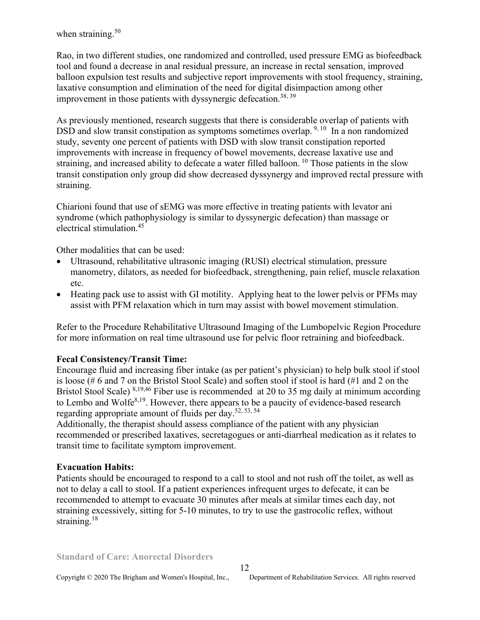when straining. $50$ 

Rao, in two different studies, one randomized and controlled, used pressure EMG as biofeedback tool and found a decrease in anal residual pressure, an increase in rectal sensation, improved balloon expulsion test results and subjective report improvements with stool frequency, straining, laxative consumption and elimination of the need for digital disimpaction among other improvement in those patients with dyssynergic defecation.<sup>38, 39</sup>

As previously mentioned, research suggests that there is considerable overlap of patients with DSD and slow transit constipation as symptoms sometimes overlap.  $9,10$  In a non randomized study, seventy one percent of patients with DSD with slow transit constipation reported improvements with increase in frequency of bowel movements, decrease laxative use and straining, and increased ability to defecate a water filled balloon.<sup>10</sup> Those patients in the slow transit constipation only group did show decreased dyssynergy and improved rectal pressure with straining.

Chiarioni found that use of sEMG was more effective in treating patients with levator ani syndrome (which pathophysiology is similar to dyssynergic defecation) than massage or electrical stimulation.<sup>45</sup>

Other modalities that can be used:

- Ultrasound, rehabilitative ultrasonic imaging (RUSI) electrical stimulation, pressure manometry, dilators, as needed for biofeedback, strengthening, pain relief, muscle relaxation etc.
- Heating pack use to assist with GI motility. Applying heat to the lower pelvis or PFMs may assist with PFM relaxation which in turn may assist with bowel movement stimulation.

Refer to the Procedure Rehabilitative Ultrasound Imaging of the Lumbopelvic Region Procedure for more information on real time ultrasound use for pelvic floor retraining and biofeedback.

### **Fecal Consistency/Transit Time:**

Encourage fluid and increasing fiber intake (as per patient's physician) to help bulk stool if stool is loose (# 6 and 7 on the Bristol Stool Scale) and soften stool if stool is hard (#1 and 2 on the Bristol Stool Scale)  $8,19,46$  Fiber use is recommended at 20 to 35 mg daily at minimum according to Lembo and Wolfe $8,19$ . However, there appears to be a paucity of evidence-based research regarding appropriate amount of fluids per day.52, 53, 54

Additionally, the therapist should assess compliance of the patient with any physician recommended or prescribed laxatives, secretagogues or anti-diarrheal medication as it relates to transit time to facilitate symptom improvement.

### **Evacuation Habits:**

Patients should be encouraged to respond to a call to stool and not rush off the toilet, as well as not to delay a call to stool. If a patient experiences infrequent urges to defecate, it can be recommended to attempt to evacuate 30 minutes after meals at similar times each day, not straining excessively, sitting for 5-10 minutes, to try to use the gastrocolic reflex, without straining. $18$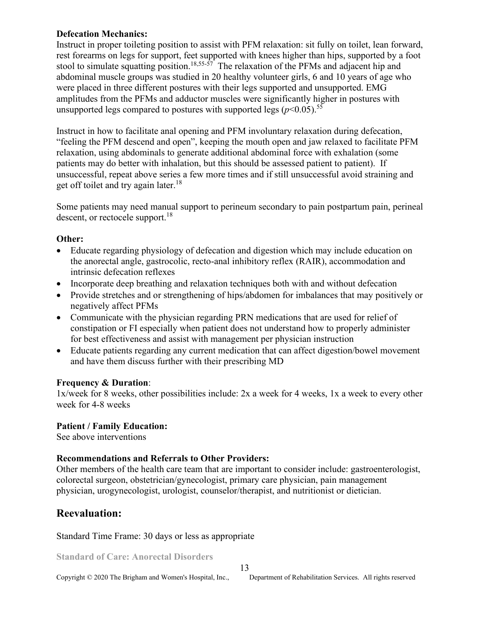#### **Defecation Mechanics:**

Instruct in proper toileting position to assist with PFM relaxation: sit fully on toilet, lean forward, rest forearms on legs for support, feet supported with knees higher than hips, supported by a foot stool to simulate squatting position.<sup>18,55-57</sup> The relaxation of the PFMs and adjacent hip and abdominal muscle groups was studied in 20 healthy volunteer girls, 6 and 10 years of age who were placed in three different postures with their legs supported and unsupported. EMG amplitudes from the PFMs and adductor muscles were significantly higher in postures with unsupported legs compared to postures with supported legs  $(p<0.05)$ <sup>55</sup>

Instruct in how to facilitate anal opening and PFM involuntary relaxation during defecation, "feeling the PFM descend and open", keeping the mouth open and jaw relaxed to facilitate PFM relaxation, using abdominals to generate additional abdominal force with exhalation (some patients may do better with inhalation, but this should be assessed patient to patient). If unsuccessful, repeat above series a few more times and if still unsuccessful avoid straining and get off toilet and try again later.<sup>18</sup>

Some patients may need manual support to perineum secondary to pain postpartum pain, perineal descent, or rectocele support.<sup>18</sup>

### **Other:**

- Educate regarding physiology of defecation and digestion which may include education on the anorectal angle, gastrocolic, recto-anal inhibitory reflex (RAIR), accommodation and intrinsic defecation reflexes
- Incorporate deep breathing and relaxation techniques both with and without defecation
- Provide stretches and or strengthening of hips/abdomen for imbalances that may positively or negatively affect PFMs
- Communicate with the physician regarding PRN medications that are used for relief of constipation or FI especially when patient does not understand how to properly administer for best effectiveness and assist with management per physician instruction
- Educate patients regarding any current medication that can affect digestion/bowel movement and have them discuss further with their prescribing MD

### **Frequency & Duration**:

1x/week for 8 weeks, other possibilities include: 2x a week for 4 weeks, 1x a week to every other week for 4-8 weeks

#### **Patient / Family Education:**

See above interventions

### **Recommendations and Referrals to Other Providers:**

Other members of the health care team that are important to consider include: gastroenterologist, colorectal surgeon, obstetrician/gynecologist, primary care physician, pain management physician, urogynecologist, urologist, counselor/therapist, and nutritionist or dietician.

# **Reevaluation:**

Standard Time Frame: 30 days or less as appropriate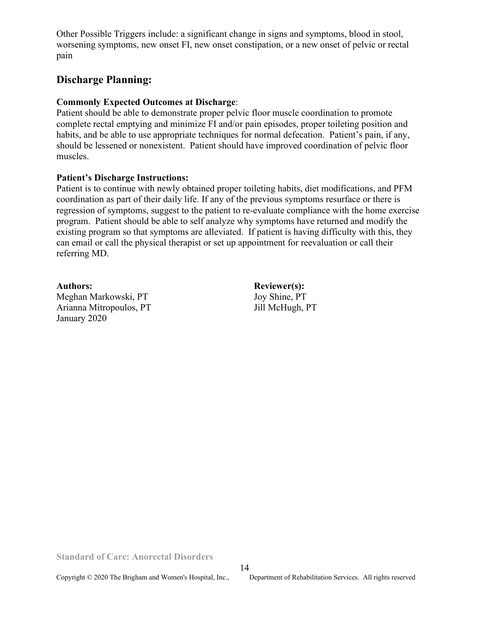Other Possible Triggers include: a significant change in signs and symptoms, blood in stool, worsening symptoms, new onset FI, new onset constipation, or a new onset of pelvic or rectal pain

## **Discharge Planning:**

#### **Commonly Expected Outcomes at Discharge**:

Patient should be able to demonstrate proper pelvic floor muscle coordination to promote complete rectal emptying and minimize FI and/or pain episodes, proper toileting position and habits, and be able to use appropriate techniques for normal defecation. Patient's pain, if any, should be lessened or nonexistent. Patient should have improved coordination of pelvic floor muscles.

#### **Patient's Discharge Instructions:**

Patient is to continue with newly obtained proper toileting habits, diet modifications, and PFM coordination as part of their daily life. If any of the previous symptoms resurface or there is regression of symptoms, suggest to the patient to re-evaluate compliance with the home exercise program. Patient should be able to self analyze why symptoms have returned and modify the existing program so that symptoms are alleviated. If patient is having difficulty with this, they can email or call the physical therapist or set up appointment for reevaluation or call their referring MD.

Authors: **Reviewer(s):** Meghan Markowski, PT Joy Shine, PT Arianna Mitropoulos, PT Jill McHugh, PT January 2020

**Standard of Care: Anorectal Disorders** 

14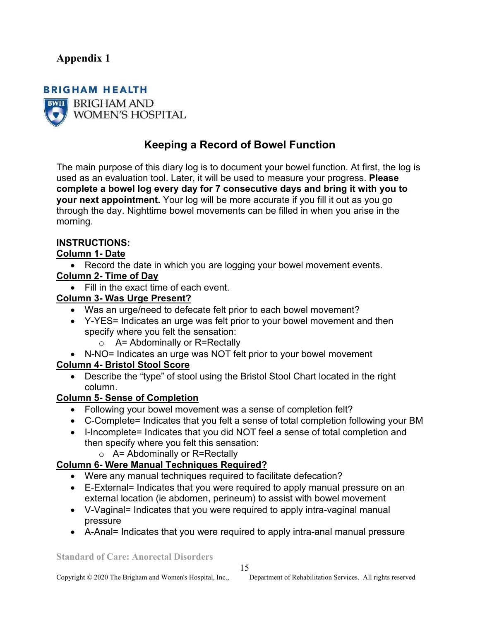# **Appendix 1**

# **BRIGHAM HEALTH BWH BRIGHAM AND WOMEN'S HOSPITAL**

# **Keeping a Record of Bowel Function**

The main purpose of this diary log is to document your bowel function. At first, the log is used as an evaluation tool. Later, it will be used to measure your progress. **Please complete a bowel log every day for 7 consecutive days and bring it with you to your next appointment.** Your log will be more accurate if you fill it out as you go through the day. Nighttime bowel movements can be filled in when you arise in the morning.

## **INSTRUCTIONS:**

## **Column 1- Date**

• Record the date in which you are logging your bowel movement events.

# **Column 2- Time of Day**

• Fill in the exact time of each event.

### **Column 3- Was Urge Present?**

- Was an urge/need to defecate felt prior to each bowel movement?
- Y-YES= Indicates an urge was felt prior to your bowel movement and then specify where you felt the sensation:
	- $\circ$  A= Abdominally or R=Rectally
- N-NO= Indicates an urge was NOT felt prior to your bowel movement

## **Column 4- Bristol Stool Score**

• Describe the "type" of stool using the Bristol Stool Chart located in the right column.

### **Column 5- Sense of Completion**

- Following your bowel movement was a sense of completion felt?
- C-Complete= Indicates that you felt a sense of total completion following your BM
- I-Incomplete= Indicates that you did NOT feel a sense of total completion and then specify where you felt this sensation:
	- $\circ$  A= Abdominally or R=Rectally

## **Column 6- Were Manual Techniques Required?**

- Were any manual techniques required to facilitate defecation?
- E-External= Indicates that you were required to apply manual pressure on an external location (ie abdomen, perineum) to assist with bowel movement
- V-Vaginal= Indicates that you were required to apply intra-vaginal manual pressure
- A-Anal= Indicates that you were required to apply intra-anal manual pressure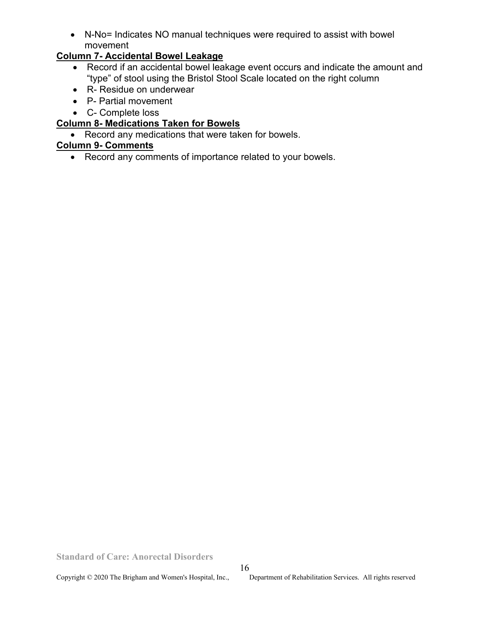• N-No= Indicates NO manual techniques were required to assist with bowel movement

## **Column 7- Accidental Bowel Leakage**

- Record if an accidental bowel leakage event occurs and indicate the amount and "type" of stool using the Bristol Stool Scale located on the right column
- R- Residue on underwear
- P- Partial movement
- C- Complete loss

## **Column 8- Medications Taken for Bowels**

• Record any medications that were taken for bowels.

## **Column 9- Comments**

• Record any comments of importance related to your bowels.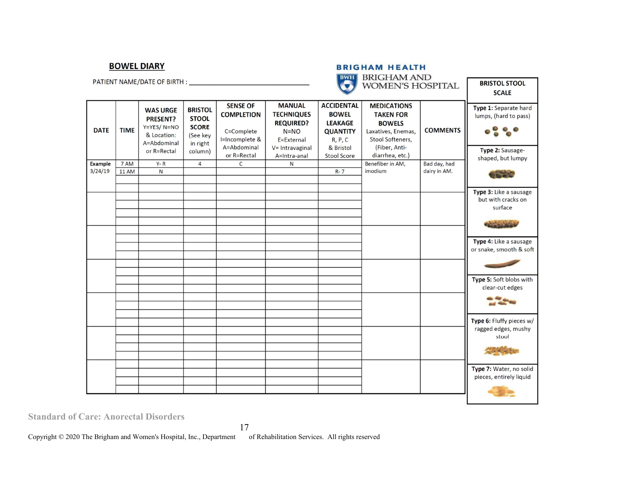#### **BOWEL DIARY**

the property of the property of the property of

| <b>BRIGHAM HEALTH</b>  |  |
|------------------------|--|
| <b>BWH BRIGHAM AND</b> |  |
| WOMEN'S HOSPITAL       |  |

| PATIENT NAME/DATE OF BIRTH : |                      |                                                                                        |                                                                                   |                                                                                                    |                                                                                                                     | $\bm{D} \bm{W} \bm{\Pi}$<br>DINIGHANI AIND<br><b>WOMEN'S HOSPITAL</b>                                                |                                                                                                                                       |                              | <b>BRISTOL STOOL</b><br><b>SCALE</b>                                                    |
|------------------------------|----------------------|----------------------------------------------------------------------------------------|-----------------------------------------------------------------------------------|----------------------------------------------------------------------------------------------------|---------------------------------------------------------------------------------------------------------------------|----------------------------------------------------------------------------------------------------------------------|---------------------------------------------------------------------------------------------------------------------------------------|------------------------------|-----------------------------------------------------------------------------------------|
| <b>DATE</b>                  | <b>TIME</b>          | <b>WAS URGE</b><br>PRESENT?<br>Y=YES/N=NO<br>& Location:<br>A=Abdominal<br>or R=Rectal | <b>BRISTOL</b><br><b>STOOL</b><br><b>SCORE</b><br>(See key<br>in right<br>column) | <b>SENSE OF</b><br><b>COMPLETION</b><br>C=Complete<br>I=Incomplete &<br>A=Abdominal<br>or R=Rectal | <b>MANUAL</b><br><b>TECHNIQUES</b><br><b>REQUIRED?</b><br>$N = NO$<br>E=External<br>V= Intravaginal<br>A=Intra-anal | <b>ACCIDENTAL</b><br><b>BOWEL</b><br><b>LEAKAGE</b><br><b>QUANTITY</b><br>R, P, C<br>& Bristol<br><b>Stool Score</b> | <b>MEDICATIONS</b><br><b>TAKEN FOR</b><br><b>BOWELS</b><br>Laxatives, Enemas,<br>Stool Softeners,<br>(Fiber, Anti-<br>diarrhea, etc.) | <b>COMMENTS</b>              | Type 1: Separate hard<br>lumps, (hard to pass)<br>Type 2: Sausage-<br>shaped, but lumpy |
| <b>Example</b><br>3/24/19    | 7 AM<br><b>11 AM</b> | $Y - R$<br>$\mathsf{N}$                                                                | $\overline{4}$                                                                    | $\mathsf{C}$                                                                                       | N                                                                                                                   | $R - 7$                                                                                                              | Benefiber in AM,<br>imodium                                                                                                           | Bad day, had<br>dairy in AM. |                                                                                         |
|                              |                      |                                                                                        |                                                                                   |                                                                                                    |                                                                                                                     |                                                                                                                      |                                                                                                                                       |                              |                                                                                         |
|                              |                      |                                                                                        |                                                                                   |                                                                                                    |                                                                                                                     |                                                                                                                      |                                                                                                                                       |                              | Type 3: Like a sausage                                                                  |
|                              |                      |                                                                                        |                                                                                   |                                                                                                    |                                                                                                                     |                                                                                                                      |                                                                                                                                       |                              | but with cracks on                                                                      |
|                              |                      |                                                                                        |                                                                                   |                                                                                                    |                                                                                                                     |                                                                                                                      |                                                                                                                                       |                              | surface                                                                                 |
|                              |                      |                                                                                        |                                                                                   |                                                                                                    |                                                                                                                     |                                                                                                                      |                                                                                                                                       |                              |                                                                                         |
|                              |                      |                                                                                        |                                                                                   |                                                                                                    |                                                                                                                     |                                                                                                                      |                                                                                                                                       |                              |                                                                                         |
|                              |                      |                                                                                        |                                                                                   |                                                                                                    |                                                                                                                     |                                                                                                                      |                                                                                                                                       |                              | Type 4: Like a sausage<br>or snake, smooth & soft                                       |
|                              |                      |                                                                                        |                                                                                   |                                                                                                    |                                                                                                                     |                                                                                                                      |                                                                                                                                       |                              |                                                                                         |
|                              |                      |                                                                                        |                                                                                   |                                                                                                    |                                                                                                                     |                                                                                                                      |                                                                                                                                       |                              |                                                                                         |
|                              |                      |                                                                                        |                                                                                   |                                                                                                    |                                                                                                                     |                                                                                                                      |                                                                                                                                       |                              | Type 5: Soft blobs with<br>clear-cut edges                                              |
|                              |                      |                                                                                        |                                                                                   |                                                                                                    |                                                                                                                     |                                                                                                                      |                                                                                                                                       |                              |                                                                                         |
|                              |                      |                                                                                        |                                                                                   |                                                                                                    |                                                                                                                     |                                                                                                                      |                                                                                                                                       |                              |                                                                                         |
|                              |                      |                                                                                        |                                                                                   |                                                                                                    |                                                                                                                     |                                                                                                                      |                                                                                                                                       |                              | Type 6: Fluffy pieces w/                                                                |
|                              |                      |                                                                                        |                                                                                   |                                                                                                    |                                                                                                                     |                                                                                                                      |                                                                                                                                       |                              | ragged edges, mushy<br>stool                                                            |
|                              |                      |                                                                                        |                                                                                   |                                                                                                    |                                                                                                                     |                                                                                                                      |                                                                                                                                       |                              |                                                                                         |
|                              |                      |                                                                                        |                                                                                   |                                                                                                    |                                                                                                                     |                                                                                                                      |                                                                                                                                       |                              |                                                                                         |
|                              |                      |                                                                                        |                                                                                   |                                                                                                    |                                                                                                                     |                                                                                                                      |                                                                                                                                       |                              | Type 7: Water, no solid                                                                 |
|                              |                      |                                                                                        |                                                                                   |                                                                                                    |                                                                                                                     |                                                                                                                      |                                                                                                                                       |                              | pieces, entirely liquid                                                                 |
|                              |                      |                                                                                        |                                                                                   |                                                                                                    |                                                                                                                     |                                                                                                                      |                                                                                                                                       |                              |                                                                                         |
|                              |                      |                                                                                        |                                                                                   |                                                                                                    |                                                                                                                     |                                                                                                                      |                                                                                                                                       |                              |                                                                                         |

**Standard of Care: Anorectal Disorders** 

Copyright © 2020 The Brigham and Women's Hospital, Inc., Department of Rehabilitation Services. All rights reserved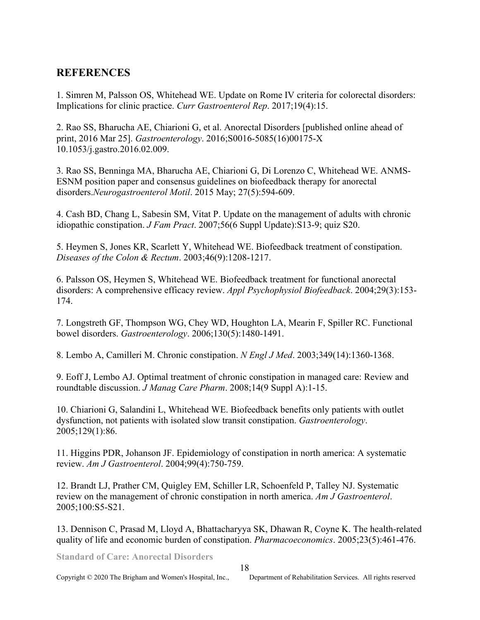# **REFERENCES**

1. Simren M, Palsson OS, Whitehead WE. Update on Rome IV criteria for colorectal disorders: Implications for clinic practice. *Curr Gastroenterol Rep*. 2017;19(4):15.

2. Rao SS, Bharucha AE, Chiarioni G, et al. Anorectal Disorders [published online ahead of print, 2016 Mar 25]. *Gastroenterology*. 2016;S0016-5085(16)00175-X 10.1053/j.gastro.2016.02.009.

3. Rao SS, Benninga MA, Bharucha AE, Chiarioni G, Di Lorenzo C, Whitehead WE. ANMS-ESNM position paper and consensus guidelines on biofeedback therapy for anorectal disorders.*Neurogastroenterol Motil*. 2015 May; 27(5):594-609.

4. Cash BD, Chang L, Sabesin SM, Vitat P. Update on the management of adults with chronic idiopathic constipation. *J Fam Pract*. 2007;56(6 Suppl Update):S13-9; quiz S20.

5. Heymen S, Jones KR, Scarlett Y, Whitehead WE. Biofeedback treatment of constipation. *Diseases of the Colon & Rectum*. 2003;46(9):1208-1217.

6. Palsson OS, Heymen S, Whitehead WE. Biofeedback treatment for functional anorectal disorders: A comprehensive efficacy review. *Appl Psychophysiol Biofeedback*. 2004;29(3):153- 174.

7. Longstreth GF, Thompson WG, Chey WD, Houghton LA, Mearin F, Spiller RC. Functional bowel disorders. *Gastroenterology*. 2006;130(5):1480-1491.

8. Lembo A, Camilleri M. Chronic constipation. *N Engl J Med*. 2003;349(14):1360-1368.

9. Eoff J, Lembo AJ. Optimal treatment of chronic constipation in managed care: Review and roundtable discussion. *J Manag Care Pharm*. 2008;14(9 Suppl A):1-15.

10. Chiarioni G, Salandini L, Whitehead WE. Biofeedback benefits only patients with outlet dysfunction, not patients with isolated slow transit constipation. *Gastroenterology*. 2005;129(1):86.

11. Higgins PDR, Johanson JF. Epidemiology of constipation in north america: A systematic review. *Am J Gastroenterol*. 2004;99(4):750-759.

12. Brandt LJ, Prather CM, Quigley EM, Schiller LR, Schoenfeld P, Talley NJ. Systematic review on the management of chronic constipation in north america. *Am J Gastroenterol*. 2005;100:S5-S21.

13. Dennison C, Prasad M, Lloyd A, Bhattacharyya SK, Dhawan R, Coyne K. The health-related quality of life and economic burden of constipation. *Pharmacoeconomics*. 2005;23(5):461-476.

18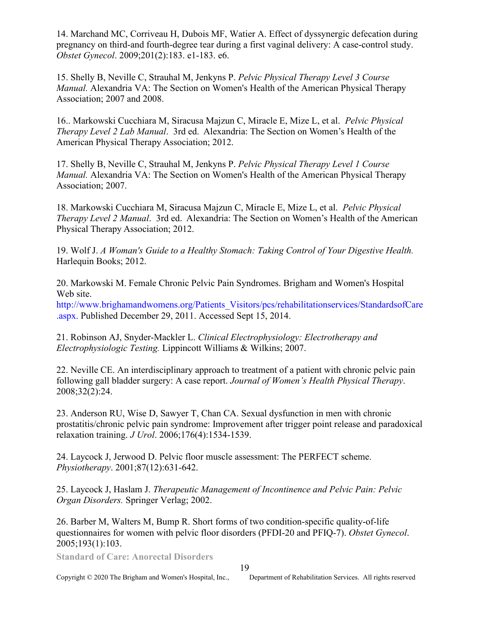14. Marchand MC, Corriveau H, Dubois MF, Watier A. Effect of dyssynergic defecation during pregnancy on third-and fourth-degree tear during a first vaginal delivery: A case-control study. *Obstet Gynecol*. 2009;201(2):183. e1-183. e6.

15. Shelly B, Neville C, Strauhal M, Jenkyns P. *Pelvic Physical Therapy Level 3 Course Manual.* Alexandria VA: The Section on Women's Health of the American Physical Therapy Association; 2007 and 2008.

16.. Markowski Cucchiara M, Siracusa Majzun C, Miracle E, Mize L, et al. *Pelvic Physical Therapy Level 2 Lab Manual*. 3rd ed. Alexandria: The Section on Women's Health of the American Physical Therapy Association; 2012.

17. Shelly B, Neville C, Strauhal M, Jenkyns P. *Pelvic Physical Therapy Level 1 Course Manual.* Alexandria VA: The Section on Women's Health of the American Physical Therapy Association; 2007.

18. Markowski Cucchiara M, Siracusa Majzun C, Miracle E, Mize L, et al. *Pelvic Physical Therapy Level 2 Manual*. 3rd ed. Alexandria: The Section on Women's Health of the American Physical Therapy Association; 2012.

19. Wolf J. *A Woman's Guide to a Healthy Stomach: Taking Control of Your Digestive Health.*  Harlequin Books; 2012.

20. Markowski M. Female Chronic Pelvic Pain Syndromes. Brigham and Women's Hospital Web site.

[http://www.brighamandwomens.org/Patients\\_Visitors/pcs/rehabilitationservices/StandardsofCare](http://www.brighamandwomens.org/Patients_Visitors/pcs/rehabilitationservices/StandardsofCare.aspx.) .aspx. Published December 29, 2011. Accessed Sept 15, 2014.

21. Robinson AJ, Snyder-Mackler L. *Clinical Electrophysiology: Electrotherapy and Electrophysiologic Testing.* Lippincott Williams & Wilkins; 2007.

22. Neville CE. An interdisciplinary approach to treatment of a patient with chronic pelvic pain following gall bladder surgery: A case report. *Journal of Women's Health Physical Therapy*. 2008;32(2):24.

23. Anderson RU, Wise D, Sawyer T, Chan CA. Sexual dysfunction in men with chronic prostatitis/chronic pelvic pain syndrome: Improvement after trigger point release and paradoxical relaxation training. *J Urol*. 2006;176(4):1534-1539.

24. Laycock J, Jerwood D. Pelvic floor muscle assessment: The PERFECT scheme. *Physiotherapy*. 2001;87(12):631-642.

25. Laycock J, Haslam J. *Therapeutic Management of Incontinence and Pelvic Pain: Pelvic Organ Disorders.* Springer Verlag; 2002.

26. Barber M, Walters M, Bump R. Short forms of two condition-specific quality-of-life questionnaires for women with pelvic floor disorders (PFDI-20 and PFIQ-7). *Obstet Gynecol*. 2005;193(1):103.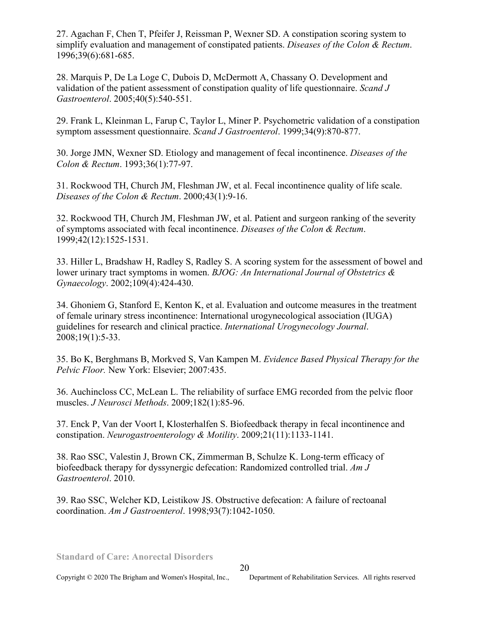27. Agachan F, Chen T, Pfeifer J, Reissman P, Wexner SD. A constipation scoring system to simplify evaluation and management of constipated patients. *Diseases of the Colon & Rectum*. 1996;39(6):681-685.

28. Marquis P, De La Loge C, Dubois D, McDermott A, Chassany O. Development and validation of the patient assessment of constipation quality of life questionnaire. *Scand J Gastroenterol*. 2005;40(5):540-551.

29. Frank L, Kleinman L, Farup C, Taylor L, Miner P. Psychometric validation of a constipation symptom assessment questionnaire. *Scand J Gastroenterol*. 1999;34(9):870-877.

30. Jorge JMN, Wexner SD. Etiology and management of fecal incontinence. *Diseases of the Colon & Rectum*. 1993;36(1):77-97.

31. Rockwood TH, Church JM, Fleshman JW, et al. Fecal incontinence quality of life scale. *Diseases of the Colon & Rectum*. 2000;43(1):9-16.

32. Rockwood TH, Church JM, Fleshman JW, et al. Patient and surgeon ranking of the severity of symptoms associated with fecal incontinence. *Diseases of the Colon & Rectum*. 1999;42(12):1525-1531.

33. Hiller L, Bradshaw H, Radley S, Radley S. A scoring system for the assessment of bowel and lower urinary tract symptoms in women. *BJOG: An International Journal of Obstetrics & Gynaecology*. 2002;109(4):424-430.

34. Ghoniem G, Stanford E, Kenton K, et al. Evaluation and outcome measures in the treatment of female urinary stress incontinence: International urogynecological association (IUGA) guidelines for research and clinical practice. *International Urogynecology Journal*. 2008;19(1):5-33.

35. Bo K, Berghmans B, Morkved S, Van Kampen M. *Evidence Based Physical Therapy for the Pelvic Floor.* New York: Elsevier; 2007:435.

36. Auchincloss CC, McLean L. The reliability of surface EMG recorded from the pelvic floor muscles. *J Neurosci Methods*. 2009;182(1):85-96.

37. Enck P, Van der Voort I, Klosterhalfen S. Biofeedback therapy in fecal incontinence and constipation. *Neurogastroenterology & Motility*. 2009;21(11):1133-1141.

38. Rao SSC, Valestin J, Brown CK, Zimmerman B, Schulze K. Long-term efficacy of biofeedback therapy for dyssynergic defecation: Randomized controlled trial. *Am J Gastroenterol*. 2010.

39. Rao SSC, Welcher KD, Leistikow JS. Obstructive defecation: A failure of rectoanal coordination. *Am J Gastroenterol*. 1998;93(7):1042-1050.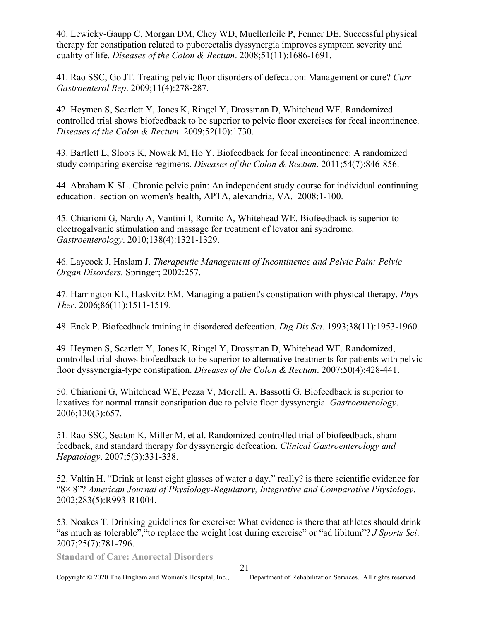40. Lewicky-Gaupp C, Morgan DM, Chey WD, Muellerleile P, Fenner DE. Successful physical therapy for constipation related to puborectalis dyssynergia improves symptom severity and quality of life. *Diseases of the Colon & Rectum*. 2008;51(11):1686-1691.

41. Rao SSC, Go JT. Treating pelvic floor disorders of defecation: Management or cure? *Curr Gastroenterol Rep*. 2009;11(4):278-287.

42. Heymen S, Scarlett Y, Jones K, Ringel Y, Drossman D, Whitehead WE. Randomized controlled trial shows biofeedback to be superior to pelvic floor exercises for fecal incontinence. *Diseases of the Colon & Rectum*. 2009;52(10):1730.

43. Bartlett L, Sloots K, Nowak M, Ho Y. Biofeedback for fecal incontinence: A randomized study comparing exercise regimens. *Diseases of the Colon & Rectum*. 2011;54(7):846-856.

44. Abraham K SL. Chronic pelvic pain: An independent study course for individual continuing education. section on women's health, APTA, alexandria, VA. 2008:1-100.

45. Chiarioni G, Nardo A, Vantini I, Romito A, Whitehead WE. Biofeedback is superior to electrogalvanic stimulation and massage for treatment of levator ani syndrome. *Gastroenterology*. 2010;138(4):1321-1329.

46. Laycock J, Haslam J. *Therapeutic Management of Incontinence and Pelvic Pain: Pelvic Organ Disorders.* Springer; 2002:257.

47. Harrington KL, Haskvitz EM. Managing a patient's constipation with physical therapy. *Phys Ther*. 2006;86(11):1511-1519.

48. Enck P. Biofeedback training in disordered defecation. *Dig Dis Sci*. 1993;38(11):1953-1960.

49. Heymen S, Scarlett Y, Jones K, Ringel Y, Drossman D, Whitehead WE. Randomized, controlled trial shows biofeedback to be superior to alternative treatments for patients with pelvic floor dyssynergia-type constipation. *Diseases of the Colon & Rectum*. 2007;50(4):428-441.

50. Chiarioni G, Whitehead WE, Pezza V, Morelli A, Bassotti G. Biofeedback is superior to laxatives for normal transit constipation due to pelvic floor dyssynergia. *Gastroenterology*. 2006;130(3):657.

51. Rao SSC, Seaton K, Miller M, et al. Randomized controlled trial of biofeedback, sham feedback, and standard therapy for dyssynergic defecation. *Clinical Gastroenterology and Hepatology*. 2007;5(3):331-338.

52. Valtin H. "Drink at least eight glasses of water a day." really? is there scientific evidence for "8× 8"? *American Journal of Physiology-Regulatory, Integrative and Comparative Physiology*. 2002;283(5):R993-R1004.

53. Noakes T. Drinking guidelines for exercise: What evidence is there that athletes should drink "as much as tolerable","to replace the weight lost during exercise" or "ad libitum"? *J Sports Sci*. 2007;25(7):781-796.

**Standard of Care: Anorectal Disorders** 

#### 21